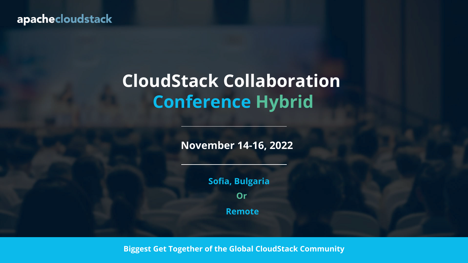**Biggest Get Together of the Global CloudStack Community**

### apachecloudstack

### **CloudStack Collaboration Conference Hybrid**

**November 14-16, 2022**

**Or Sofia, Bulgaria Remote**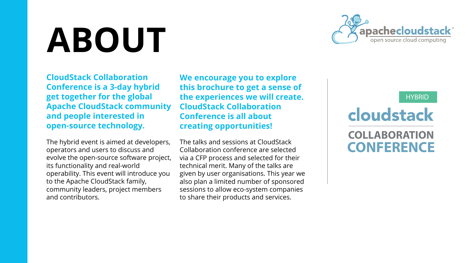### cloudstack **COLLABORATION CONFERENCE**

#### **HYBRID**

**CloudStack Collaboration Conference is a 3-day hybrid get together for the global Apache CloudStack community and people interested in open-source technology.** 

The hybrid event is aimed at developers, operators and users to discuss and evolve the open-source software project, its functionality and real-world operability. This event will introduce you to the Apache CloudStack family, community leaders, project members and contributors.

### **We encourage you to explore this brochure to get a sense of the experiences we will create. CloudStack Collaboration Conference is all about creating opportunities!**

The talks and sessions at CloudStack Collaboration conference are selected via a CFP process and selected for their technical merit. Many of the talks are given by user organisations. This year we also plan a limited number of sponsored sessions to allow eco-system companies to share their products and services.



## **ABOUT**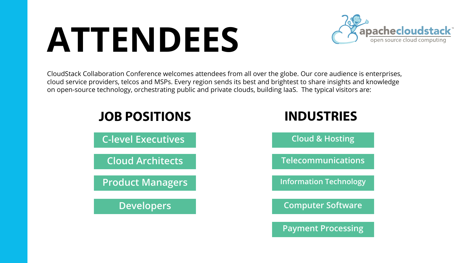### **ATTENDEES**

CloudStack Collaboration Conference welcomes attendees from all over the globe. Our core audience is enterprises, cloud service providers, telcos and MSPs. Every region sends its best and brightest to share insights and knowledge on open-source technology, orchestrating public and private clouds, building IaaS. The typical visitors are:

### **JOB POSITIONS**

**C-level Executives**

**Cloud Architects**

**Product Managers**

**Developers**



| <b>INDUSTRIES</b>             |  |  |  |  |
|-------------------------------|--|--|--|--|
| <b>Cloud &amp; Hosting</b>    |  |  |  |  |
| Telecommunications            |  |  |  |  |
| <b>Information Technology</b> |  |  |  |  |
| <b>Computer Software</b>      |  |  |  |  |
| <b>Payment Processing</b>     |  |  |  |  |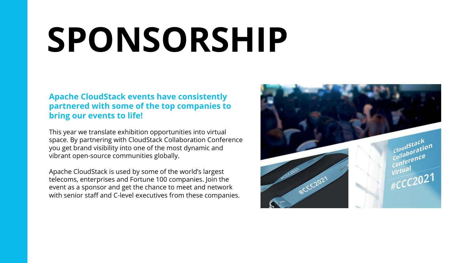## **SPONSORSHIP**

### **Apache CloudStack events have consistently partnered with some of the top companies to bring our events to life!**

This year we translate exhibition opportunities into virtual space. By partnering with CloudStack Collaboration Conference you get brand visibility into one of the most dynamic and vibrant open-source communities globally.

Apache CloudStack is used by some of the world's largest telecoms, enterprises and Fortune 100 companies. Join the event as a sponsor and get the chance to meet and network with senior staff and C-level executives from these companies.

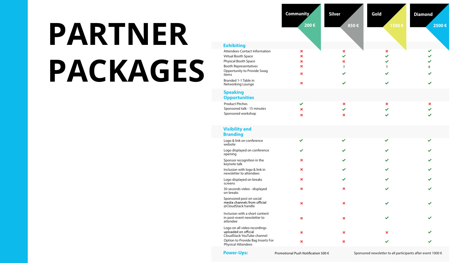

# **PARTNER PACKAGES**

|                                                                                    | <b>Community</b>     | <b>Silver</b>            | Gold                 | <b>Diamond</b> |  |
|------------------------------------------------------------------------------------|----------------------|--------------------------|----------------------|----------------|--|
|                                                                                    | 200€                 | 850€                     | 1500€                | 2 <sup>1</sup> |  |
|                                                                                    |                      |                          |                      |                |  |
|                                                                                    |                      |                          |                      |                |  |
| <b>Exhibiting</b>                                                                  |                      |                          |                      |                |  |
| <b>Attendees Contact Information</b>                                               | ×                    | ×                        | ×                    |                |  |
| <b>Virtual Booth Space</b>                                                         | X                    |                          |                      |                |  |
| Physical Booth Space                                                               | X<br>×               | ×                        |                      |                |  |
| <b>Booth Representatives</b><br><b>Opportunity to Provide Swag</b><br>items        | ×                    | 3                        | 5                    | 8              |  |
| Branded 1-1 Table in<br>Networking Lounge                                          | ×                    |                          |                      |                |  |
| <b>Speaking</b>                                                                    |                      |                          |                      |                |  |
| <b>Opportunities</b>                                                               |                      |                          |                      |                |  |
| <b>Product Pitches</b>                                                             |                      | ×                        | ×                    | ×              |  |
| Sponsored talk - 15 minutes                                                        |                      | $\overline{\phantom{a}}$ | $\blacktriangledown$ |                |  |
| Sponsored workshop                                                                 | ×                    | ×                        |                      |                |  |
| <b>Visibility and</b>                                                              |                      |                          |                      |                |  |
| <b>Branding</b>                                                                    |                      |                          |                      |                |  |
| Logo & link on conference<br>website                                               | $\blacktriangledown$ | $\blacktriangledown$     | $\blacktriangledown$ |                |  |
| Logo displayed on conference<br>opening                                            |                      |                          |                      |                |  |
| Sponsor recognition in the<br>keynote talk                                         | ×                    |                          |                      |                |  |
| Inclusion with logo & link in<br>newsletter to attendees                           | ×                    |                          |                      |                |  |
| Logo displayed on breaks<br>screens                                                | ×                    | $\blacktriangledown$     |                      |                |  |
| 30 seconds video - displayed<br>on breaks                                          | ×                    | ×                        |                      |                |  |
| Sponsored post on social<br>media channels from official<br>@CloudStack handle     | ×                    | ×                        |                      |                |  |
| Inclusion with a short content<br>in post-event newsletter to<br>attendee          | ×                    | ×                        |                      |                |  |
| Logo on all video recordings<br>uploaded on official<br>CloudStack YouTube channel | ×                    | ×                        | ×                    |                |  |
| Option to Provide Bag Inserts For<br><b>Physical Attendees</b>                     | ×                    | ×                        |                      |                |  |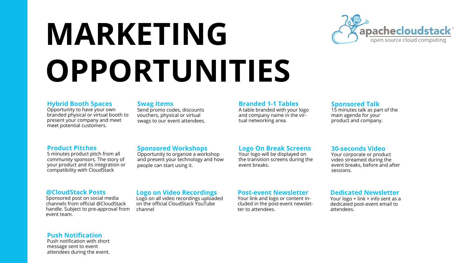## **OPPORTUNITIES MARKETING**

#### **Hybrid Booth Spaces**

Opportunity to have your own branded physical or virtual booth to present your company and meet meet potential customers.

#### **Swag Items**

Send promo codes, discounts vouchers, physical or virtual swags to our event attendees.

#### **Branded 1-1 Tables**

A table branded with your logo and company name in the virtual networking area.

#### **Sponsored Talk**

15 minutes talk as part of the main agenda for your product and company.

#### **Product Pitches**

5 minutes product pitch from all community sponsors. The story of your product and its integration or compatibility with CloudStack

#### **Sponsored Workshops**

Opportunity to organize a workshop and present your technology and how people can start using it.

#### **Logo On Break Screens**

Your logo will be displayed on the transition screens during the event breaks.

#### **30-seconds Video**

Your corporate or product video streamed during the event breaks, before and after sessions.

#### **@CloudStack Posts**

Sponsored post on social media channels from official @CloudStack handle. Subject to pre-approval from event team.

#### **Logo on Video Recordings**

Logo on all video recordings uploaded on the official CloudStack YouTube channel



#### **Post-event Newsletter**

Your link and logo or content included in the post-event newsletter to attendees.

#### **Dedicated Newsletter**

Your logo + link + info sent as a dedicated post-event email to attendees.

#### **Push Notification**

Push notification with short message sent to event attendees during the event.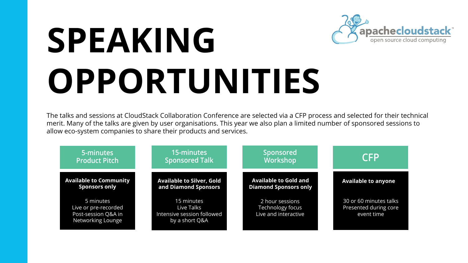# **SPEAKING OPPORTUNITIES**

The talks and sessions at CloudStack Collaboration Conference are selected via a CFP process and selected for their technical merit. Many of the talks are given by user organisations. This year we also plan a limited number of sponsored sessions to allow eco-system companies to share their products and services.

#### **5-minutes Product Pitch**

5 minutes Live or pre-recorded Post-session Q&A in Networking Lounge

**Available to Community Sponsors only**

#### **15-minutes Sponsored Talk**

15 minutes Live Talks Intensive session followed by a short Q&A



**Available to Silver, Gold and Diamond Sponsors**

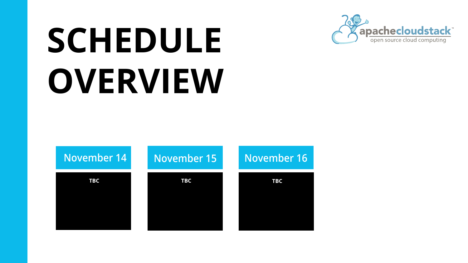## **SCHEDULE OVERVIEW**

 **TBC TBC TBC**

### **November 14 November 15 November 16**

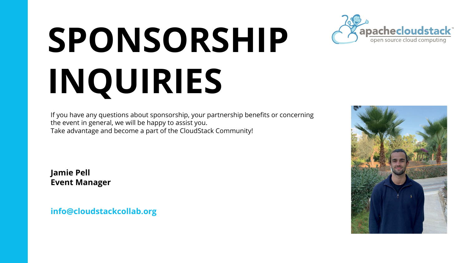# **SPONSORSHIP INQUIRIES**

If you have any questions about sponsorship, your partnership benefits or concerning the event in general, we will be happy to assist you. Take advantage and become a part of the CloudStack Community!

**Jamie Pell Event Manager**

**info@cloudstackcollab.org**



- 
-